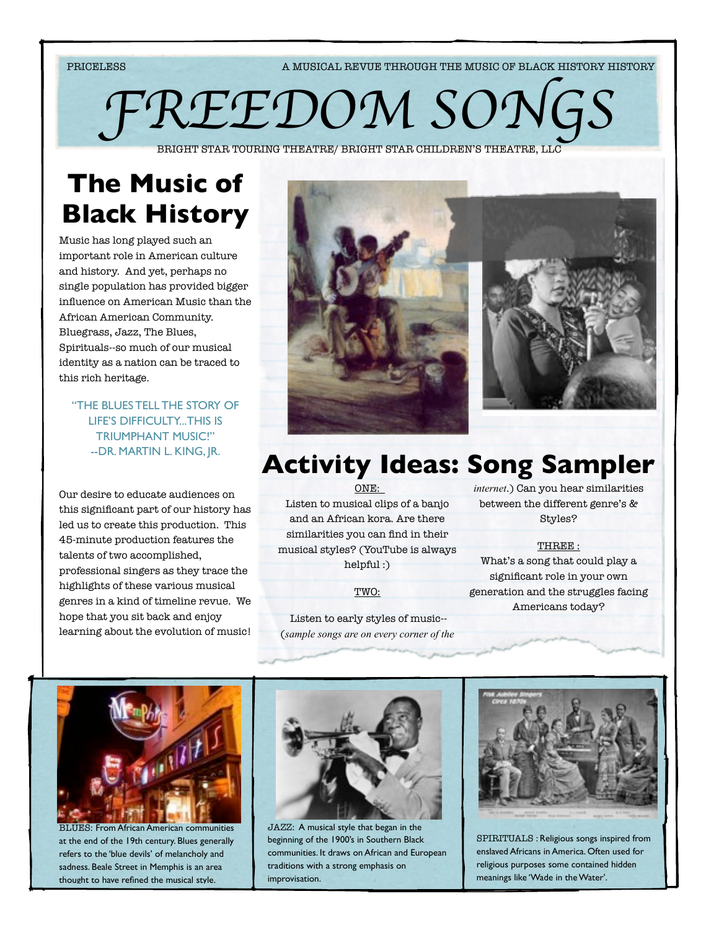PRICELESS A MUSICAL REVUE THROUGH THE MUSIC OF BLACK HISTORY HISTORY

FREEDOM SON

BRIGHT STAR TOURING THEATRE/ BRIGHT STAR CHILDREN'S THEATRE, LL

# **The Music of Black History**

Music has long played such an important role in American culture and history. And yet, perhaps no single population has provided bigger influence on American Music than the African American Community. Bluegrass, Jazz, The Blues, Spirituals--so much of our musical identity as a nation can be traced to this rich heritage.

"THE BLUES TELL THE STORY OF LIFE'S DIFFICULTY...THIS IS TRIUMPHANT MUSIC!" --DR. MARTIN L. KING, JR.

Our desire to educate audiences on this significant part of our history has led us to create this production. This 45-minute production features the talents of two accomplished, professional singers as they trace the highlights of these various musical genres in a kind of timeline revue. We hope that you sit back and enjoy learning about the evolution of music!



# **Activity Ideas: Song Sampler**

ONE:

Listen to musical clips of a banjo and an African kora. Are there similarities you can find in their musical styles? (YouTube is always helpful :)

TWO:

 Listen to early styles of music-- (*sample songs are on every corner of the*  *internet*.) Can you hear similarities between the different genre's & Styles?

THREE : What's a song that could play a significant role in your own generation and the struggles facing Americans today?



BLUES: From African American communities at the end of the 19th century. Blues generally refers to the 'blue devils' of melancholy and sadness. Beale Street in Memphis is an area thought to have refined the musical style.



JAZZ: A musical style that began in the beginning of the 1900's in Southern Black communities. It draws on African and European traditions with a strong emphasis on improvisation.



SPIRITUALS : Religious songs inspired from enslaved Africans in America. Often used for religious purposes some contained hidden meanings like 'Wade in the Water'.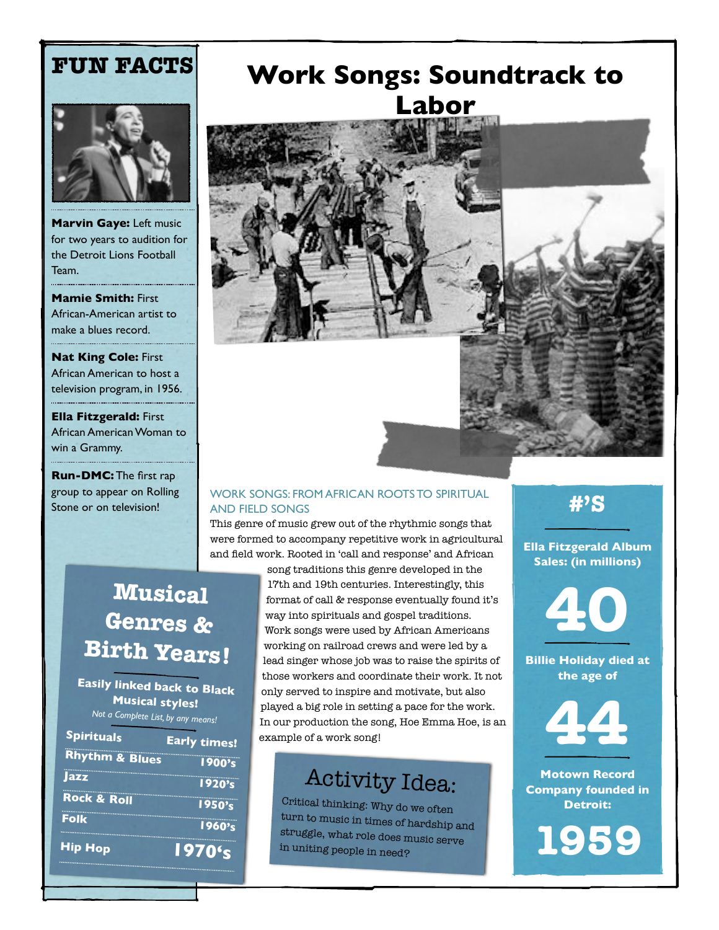### **FUN FACTS**



**Marvin Gaye:** Left music for two years to audition for the Detroit Lions Football Team.

**Mamie Smith:** First African-American artist to make a blues record.

**Nat King Cole:** First African American to host a television program, in 1956.

**Ella Fitzgerald:** First African American Woman to win a Grammy.

**Run-DMC:** The first rap group to appear on Rolling Stone or on television!

### **Work Songs: Soundtrack to Labor**



#### WORK SONGS: FROM AFRICAN ROOTS TO SPIRITUAL AND FIELD SONGS

This genre of music grew out of the rhythmic songs that were formed to accompany repetitive work in agricultural and field work. Rooted in 'call and response' and African

### **Musical Genres & Birth Years!**

**Easily linked back to Black Musical styles!** *Not a Complete List, by any means!*

| <b>Early times!</b> |
|---------------------|
| 1900's              |
| 1920's              |
| 1950's              |
| 1960's              |
| 1970's              |
|                     |

song traditions this genre developed in the 17th and 19th centuries. Interestingly, this format of call & response eventually found it's way into spirituals and gospel traditions. Work songs were used by African Americans working on railroad crews and were led by a lead singer whose job was to raise the spirits of those workers and coordinate their work. It not only served to inspire and motivate, but also played a big role in setting a pace for the work. In our production the song, Hoe Emma Hoe, is an example of a work song!

### Activity Idea:

Critical thinking: Why do we often turn to music in times of hardship and struggle, what role does music serve in uniting people in need?

**#'S**

**Ella Fitzgerald Album Sales: (in millions)** 

**40**

**Billie Holiday died at the age of**



**Motown Record Company founded in Detroit:**

**1959**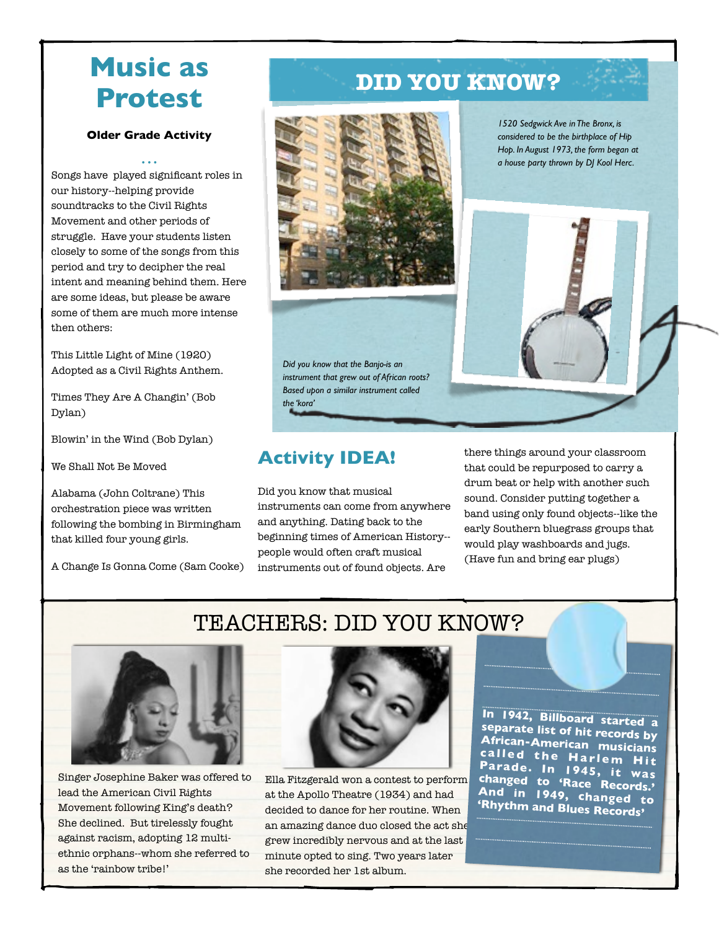### **Music as Protest**

#### **Older Grade Activity**

*• • •* Songs have played significant roles in our history--helping provide soundtracks to the Civil Rights Movement and other periods of struggle. Have your students listen closely to some of the songs from this period and try to decipher the real intent and meaning behind them. Here are some ideas, but please be aware some of them are much more intense then others:

This Little Light of Mine (1920) Adopted as a Civil Rights Anthem.

Times They Are A Changin' (Bob Dylan)

Blowin' in the Wind (Bob Dylan)

We Shall Not Be Moved

Alabama (John Coltrane) This orchestration piece was written following the bombing in Birmingham that killed four young girls.

A Change Is Gonna Come (Sam Cooke)

### **DID YOU KNOW?**



*Did you know that the Banjo-is an instrument that grew out of African roots? Based upon a similar instrument called the 'kora'*

*1520 Sedgwick Ave in The Bronx, is considered to be the birthplace of Hip Hop. In August 1973, the form began at a house party thrown by DJ Kool Herc.*



### **Activity IDEA!**

Did you know that musical instruments can come from anywhere and anything. Dating back to the beginning times of American History- people would often craft musical instruments out of found objects. Are

TEACHERS: DID YOU KNOW?

there things around your classroom that could be repurposed to carry a drum beat or help with another such sound. Consider putting together a band using only found objects--like the early Southern bluegrass groups that would play washboards and jugs. (Have fun and bring ear plugs)



Singer Josephine Baker was offered to lead the American Civil Rights Movement following King's death? She declined. But tirelessly fought against racism, adopting 12 multiethnic orphans--whom she referred to as the 'rainbow tribe!'



Ella Fitzgerald won a contest to perform at the Apollo Theatre (1934) and had decided to dance for her routine. When an amazing dance duo closed the act she grew incredibly nervous and at the last minute opted to sing. Two years later she recorded her 1st album.

**In 1942, Billboard started a separate list of hit records by African-American musicians <sup>c</sup> <sup>a</sup> <sup>l</sup> <sup>l</sup> <sup>e</sup> d t <sup>h</sup> e H <sup>a</sup> rl <sup>e</sup> m H <sup>i</sup> <sup>t</sup> Parade. In 1945, it was changed to 'Race Records.' And in 1949, changed to 'Rhythm and Blues Records'**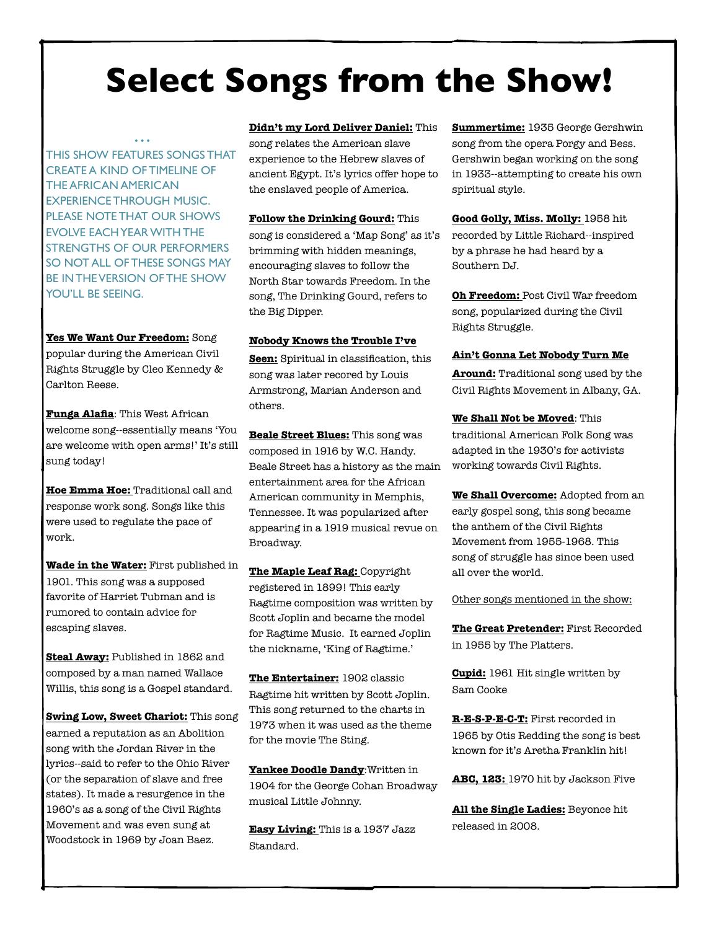# **Select Songs from the Show!**

THIS SHOW FEATURES SONGS THAT CREATE A KIND OF TIMELINE OF THE AFRICAN AMERICAN EXPERIENCE THROUGH MUSIC. PLEASE NOTE THAT OUR SHOWS EVOLVE EACH YEAR WITH THE STRENGTHS OF OUR PERFORMERS SO NOT ALL OF THESE SONGS MAY BE IN THE VERSION OF THE SHOW YOU'LL BE SEEING.

*• • •*

#### **Yes We Want Our Freedom:** Song

popular during the American Civil Rights Struggle by Cleo Kennedy & Carlton Reese.

**Funga Alafia**: This West African welcome song--essentially means 'You are welcome with open arms!' It's still sung today!

**Hoe Emma Hoe:** Traditional call and response work song. Songs like this were used to regulate the pace of work.

**Wade in the Water:** First published in 1901. This song was a supposed favorite of Harriet Tubman and is rumored to contain advice for escaping slaves.

**Steal Away:** Published in 1862 and composed by a man named Wallace Willis, this song is a Gospel standard.

**Swing Low, Sweet Chariot:** This song earned a reputation as an Abolition song with the Jordan River in the lyrics--said to refer to the Ohio River (or the separation of slave and free states). It made a resurgence in the 1960's as a song of the Civil Rights Movement and was even sung at Woodstock in 1969 by Joan Baez.

#### **Didn't my Lord Deliver Daniel:** This

song relates the American slave experience to the Hebrew slaves of ancient Egypt. It's lyrics offer hope to the enslaved people of America.

**Follow the Drinking Gourd:** This song is considered a 'Map Song' as it's brimming with hidden meanings, encouraging slaves to follow the North Star towards Freedom. In the song, The Drinking Gourd, refers to the Big Dipper.

#### **Nobody Knows the Trouble I've**

**Seen:** Spiritual in classification, this song was later recored by Louis Armstrong, Marian Anderson and others.

**Beale Street Blues:** This song was composed in 1916 by W.C. Handy. Beale Street has a history as the main entertainment area for the African American community in Memphis, Tennessee. It was popularized after appearing in a 1919 musical revue on Broadway.

**The Maple Leaf Rag:** Copyright registered in 1899! This early Ragtime composition was written by Scott Joplin and became the model for Ragtime Music. It earned Joplin the nickname, 'King of Ragtime.'

**The Entertainer:** 1902 classic Ragtime hit written by Scott Joplin. This song returned to the charts in 1973 when it was used as the theme for the movie The Sting.

**Yankee Doodle Dandy**:Written in 1904 for the George Cohan Broadway musical Little Johnny.

**Easy Living:** This is a 1937 Jazz Standard.

**Summertime:** 1935 George Gershwin song from the opera Porgy and Bess. Gershwin began working on the song in 1933--attempting to create his own spiritual style.

**Good Golly, Miss. Molly:** 1958 hit recorded by Little Richard--inspired by a phrase he had heard by a Southern DJ.

**Oh Freedom:** Post Civil War freedom song, popularized during the Civil Rights Struggle.

#### **Ain't Gonna Let Nobody Turn Me**

**Around:** Traditional song used by the Civil Rights Movement in Albany, GA.

**We Shall Not be Moved**: This traditional American Folk Song was adapted in the 1930's for activists working towards Civil Rights.

**We Shall Overcome:** Adopted from an early gospel song, this song became the anthem of the Civil Rights Movement from 1955-1968. This song of struggle has since been used all over the world.

Other songs mentioned in the show:

**The Great Pretender:** First Recorded in 1955 by The Platters.

**Cupid:** 1961 Hit single written by Sam Cooke

**R-E-S-P-E-C-T:** First recorded in 1965 by Otis Redding the song is best known for it's Aretha Franklin hit!

**ABC, 123:** 1970 hit by Jackson Five

**All the Single Ladies:** Beyonce hit released in 2008.